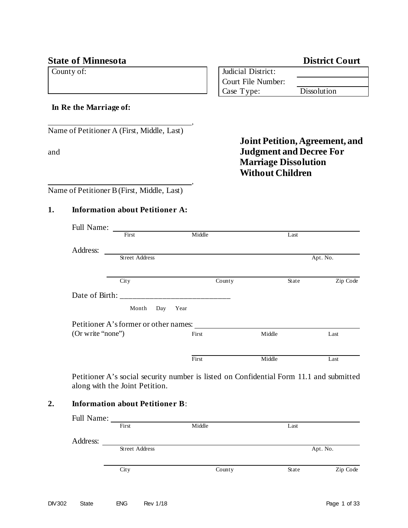# **State of Minnesota** District Court

County of:

| <b>Judicial District:</b> |             |
|---------------------------|-------------|
| Court File Number:        |             |
| Case Type:                | Dissolution |

## **In Re the Marriage of:**

Name of Petitioner A (First, Middle, Last)

|     | <b>Joint Petition, Agreement, and</b> |
|-----|---------------------------------------|
| and | <b>Judgment and Decree For</b>        |
|     | <b>Marriage Dissolution</b>           |
|     | <b>Without Children</b>               |
|     |                                       |

Name of Petitioner B(First, Middle, Last)

# **1. Information about Petitioner A:**

| Full Name:        |                                       |        |        |        |          |
|-------------------|---------------------------------------|--------|--------|--------|----------|
|                   | First                                 | Middle |        | Last   |          |
| Address:          |                                       |        |        |        |          |
|                   | <b>Street Address</b>                 |        |        |        | Apt. No. |
|                   |                                       |        |        |        |          |
|                   | City                                  |        | County | State  | Zip Code |
| Date of Birth:    |                                       |        |        |        |          |
|                   | Month<br>Day                          | Year   |        |        |          |
|                   | Petitioner A's former or other names: |        |        |        |          |
| (Or write "none") |                                       | First  |        | Middle | Last     |
|                   |                                       |        |        |        |          |
|                   |                                       | First  |        | Middle | Last     |

,

,

Petitioner A's social security number is listed on Confidential Form 11.1 and submitted along with the Joint Petition.

# **2. Information about Petitioner B**:

| <b>Full Name:</b> |                       |        |       |          |
|-------------------|-----------------------|--------|-------|----------|
|                   | First                 | Middle | Last  |          |
|                   |                       |        |       |          |
| Address:          |                       |        |       |          |
|                   | <b>Street Address</b> |        |       | Apt. No. |
|                   |                       |        |       |          |
|                   | City                  | County | State | Zip Code |
|                   |                       |        |       |          |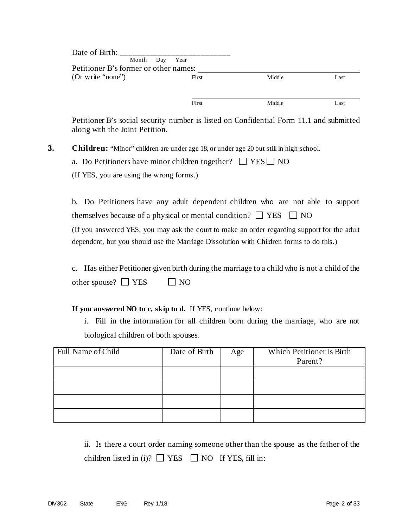| Date of Birth:                        |                |        |      |
|---------------------------------------|----------------|--------|------|
|                                       | Month Day Year |        |      |
| Petitioner B's former or other names: |                |        |      |
| (Or write "none")                     | First          | Middle | Last |
|                                       |                |        |      |
|                                       |                |        |      |
|                                       | First          | Middle | Last |

Petitioner B's social security number is listed on Confidential Form 11.1 and submitted along with the Joint Petition.

**3. Children:** "Minor" children are under age 18, or under age 20 but still in high school.

| a. Do Petitioners have minor children together? $\Box$ YES $\Box$ NO |  |
|----------------------------------------------------------------------|--|
|----------------------------------------------------------------------|--|

(If YES, you are using the wrong forms.)

b. Do Petitioners have any adult dependent children who are not able to support themselves because of a physical or mental condition?  $\Box$  YES  $\Box$  NO (If you answered YES, you may ask the court to make an order regarding support for the adult dependent, but you should use the Marriage Dissolution with Children forms to do this.)

c. Has either Petitioner given birth during the marriage to a child who is not a child of the other spouse?  $\Box$  YES  $\Box$  NO

**If you answered NO to c, skip to d.** If YES, continue below:

i. Fill in the information for all children born during the marriage, who are not biological children of both spouses.

| Full Name of Child | Date of Birth | Age | Which Petitioner is Birth<br>Parent? |
|--------------------|---------------|-----|--------------------------------------|
|                    |               |     |                                      |
|                    |               |     |                                      |
|                    |               |     |                                      |
|                    |               |     |                                      |

ii. Is there a court order naming someone other than the spouse as the father of the children listed in (i)?  $\Box$  YES  $\Box$  NO If YES, fill in: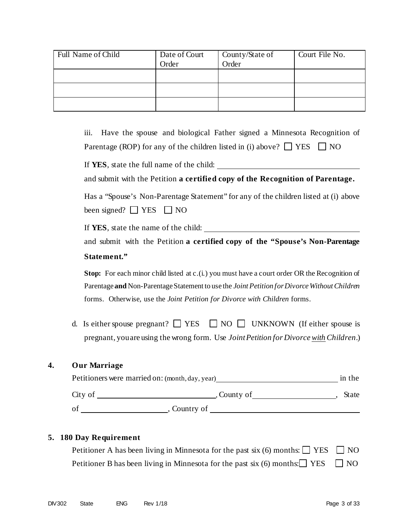| Full Name of Child | Date of Court<br>Order | County/State of<br>Order | Court File No. |
|--------------------|------------------------|--------------------------|----------------|
|                    |                        |                          |                |
|                    |                        |                          |                |
|                    |                        |                          |                |

iii. Have the spouse and biological Father signed a Minnesota Recognition of Parentage (ROP) for any of the children listed in (i) above?  $\Box$  YES  $\Box$  NO

If **YES**, state the full name of the child:

and submit with the Petition **a certified copy of the Recognition of Parentage.**

Has a "Spouse's Non-Parentage Statement" for any of the children listed at (i) above been signed?  $\Box$  YES  $\Box$  NO

If **YES**, state the name of the child:

and submit with the Petition **a certified copy of the "Spouse's Non-Parentage Statement."** 

**Stop:** For each minor child listed at c.(i.) you must have a court order OR the Recognition of Parentage **and** Non-Parentage Statement to use the *Joint Petition for Divorce Without Children* forms. Otherwise, use the *Joint Petition for Divorce with Children* forms.

d. Is either spouse pregnant?  $\Box$  YES  $\Box$  NO  $\Box$  UNKNOWN (If either spouse is pregnant, you are using the wrong form. Use *Joint Petition for Divorce with Children*.)

## **4. Our Marriage**

| Petitioners were married on: (month, day, year) |             | in the |
|-------------------------------------------------|-------------|--------|
| City of                                         | , County of | State  |
| of                                              | Country of  |        |

#### **5. 180 Day Requirement**

Petitioner A has been living in Minnesota for the past six (6) months:  $\Box$  YES  $\Box$  NO Petitioner B has been living in Minnesota for the past six (6) months:  $\Box$  YES  $\Box$  NO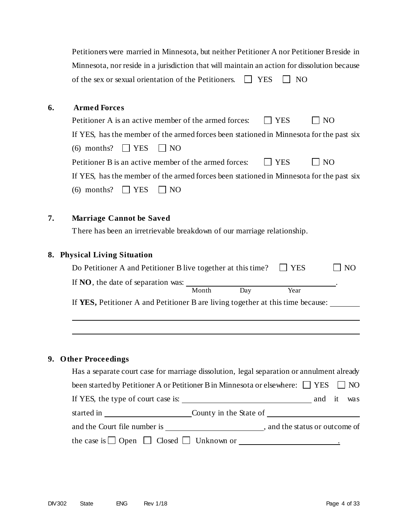|    | Petitioners were married in Minnesota, but neither Petitioner A nor Petitioner B reside in              |
|----|---------------------------------------------------------------------------------------------------------|
|    | Minnesota, nor reside in a jurisdiction that will maintain an action for dissolution because            |
|    | of the sex or sexual orientation of the Petitioners.<br><b>YES</b><br>$\perp$<br>NO                     |
|    |                                                                                                         |
| 6. | <b>Armed Forces</b>                                                                                     |
|    | Petitioner A is an active member of the armed forces:<br><b>YES</b><br>N <sub>O</sub>                   |
|    | If YES, has the member of the armed forces been stationed in Minnesota for the past six                 |
|    | $(6)$ months?<br>$\Box$ YES<br>$\Box$ NO                                                                |
|    | Petitioner B is an active member of the armed forces:<br><b>YES</b><br>N <sub>O</sub>                   |
|    | If YES, has the member of the armed forces been stationed in Minnesota for the past six                 |
|    | $\mathop{\bigsqcup}$ YES<br>$(6)$ months?<br>$\overline{\phantom{0}}$ NO                                |
|    |                                                                                                         |
| 7. | <b>Marriage Cannot be Saved</b>                                                                         |
|    | There has been an irretrievable breakdown of our marriage relationship.                                 |
|    |                                                                                                         |
| 8. | <b>Physical Living Situation</b>                                                                        |
|    | Do Petitioner A and Petitioner B live together at this time?<br><b>YES</b><br>NO                        |
|    | If $NO$ , the date of separation was: $\_\_$                                                            |
|    | Month<br>Year<br>Day<br>If YES, Petitioner A and Petitioner B are living together at this time because: |
|    |                                                                                                         |
|    |                                                                                                         |
|    |                                                                                                         |
|    |                                                                                                         |
| 9. | <b>Other Proceedings</b>                                                                                |
|    | Has a separate court case for marriage dissolution, legal separation or annulment already               |
|    | been started by Petitioner A or Petitioner B in Minnesota or elsewhere: $\Box$ YES<br>NO                |
|    | If YES, the type of court case is:<br>it<br>and<br>was                                                  |

| started in                   | County in the State of |                              |
|------------------------------|------------------------|------------------------------|
| and the Court file number is |                        | and the status or outcome of |

the case is  $\Box$  Open  $\Box$  Closed  $\Box$  Unknown or  $\Box$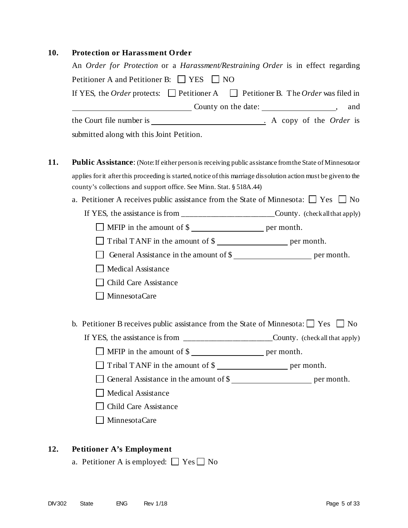# **10. Protection or Harassment Order**

|                                                                     | An Order for Protection or a Harassment/Restraining Order is in effect regarding                                 |
|---------------------------------------------------------------------|------------------------------------------------------------------------------------------------------------------|
| Petitioner A and Petitioner B: $\Box$ YES $\Box$ NO                 |                                                                                                                  |
|                                                                     | If YES, the <i>Order</i> protects: $\Box$ Petitioner A $\Box$ Petitioner B. The <i>Order</i> was filed in        |
|                                                                     | and                                                                                                              |
|                                                                     |                                                                                                                  |
| submitted along with this Joint Petition.                           |                                                                                                                  |
|                                                                     | <b>Public Assistance:</b> (Note: If either person is receiving public assistance from the State of Minnesota or  |
|                                                                     | applies for it after this proceeding is started, notice of this marriage dissolution action must be given to the |
| county's collections and support office. See Minn. Stat. § 518A.44) |                                                                                                                  |
|                                                                     | a. Petitioner A receives public assistance from the State of Minnesota: $\Box$ Yes $\Box$ No                     |
|                                                                     | If YES, the assistance is from _______________________County. (check all that apply)                             |
|                                                                     | □ MFIP in the amount of \$                                                                                       |
|                                                                     | Tribal TANF in the amount of \$                                                                                  |
|                                                                     | General Assistance in the amount of \$                                                                           |
| <b>Medical Assistance</b>                                           |                                                                                                                  |
| Child Care Assistance                                               |                                                                                                                  |
| MinnesotaCare                                                       |                                                                                                                  |
|                                                                     | b. Petitioner B receives public assistance from the State of Minnesota: $\Box$ Yes $\Box$ No                     |
|                                                                     | If YES, the assistance is from ________________________County. (check all that apply)                            |
|                                                                     | $\Box$ MFIP in the amount of \$                                                                                  |
|                                                                     | Tribal TANF in the amount of \$                                                                                  |
|                                                                     | General Assistance in the amount of \$                                                                           |
| Medical Assistance                                                  |                                                                                                                  |
|                                                                     |                                                                                                                  |
| <b>Child Care Assistance</b>                                        |                                                                                                                  |

# **12. Petitioner A's Employment**

a. Petitioner A is employed:  $\Box$  Yes  $\Box$  No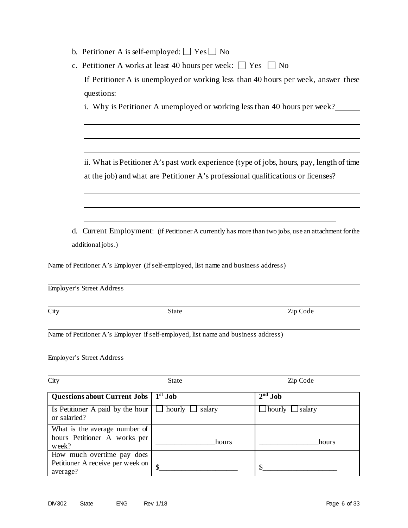- b. Petitioner A is self-employed:  $\Box$  Yes  $\Box$  No
- c. Petitioner A works at least 40 hours per week:  $\Box$  Yes  $\Box$  No If Petitioner A is unemployed or working less than 40 hours per week, answer these

i. Why is Petitioner A unemployed or working less than 40 hours per week?

ii. What is Petitioner A's past work experience (type of jobs, hours, pay, length of time at the job) and what are Petitioner A's professional qualifications or licenses?

d. Current Employment: (if Petitioner A currently has more than two jobs, use an attachment for the additional jobs.)

Name of Petitioner A's Employer (If self-employed, list name and business address)

Employer's Street Address

questions:

City State Zip Code

Name of Petitioner A's Employer if self-employed, list name and business address)

Employer's Street Address

| City                                                                  | <b>State</b> | Zip Code                      |
|-----------------------------------------------------------------------|--------------|-------------------------------|
| Questions about Current Jobs   1 <sup>st</sup> Job                    |              | $2nd$ Job                     |
| Is Petitioner A paid by the hour $\Box$ hourly $\Box$<br>or salaried? | salary       | $\perp$ hourly $\perp$ salary |
| What is the average number of                                         |              |                               |
| hours Petitioner A works per<br>week?                                 | hours        | hours                         |
| How much overtime pay does                                            |              |                               |
| Petitioner A receive per week on<br>average?                          | \$           |                               |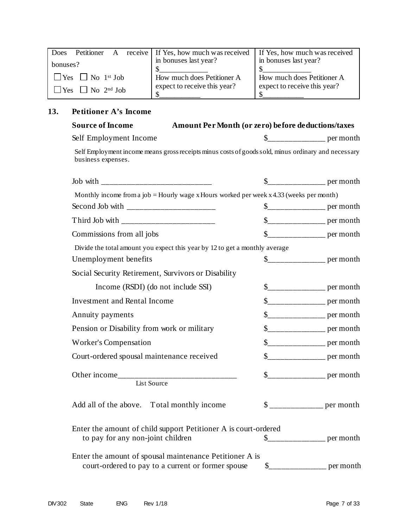| Does     | Petitioner A                                |  | receive   If Yes, how much was received   If Yes, how much was received |                              |
|----------|---------------------------------------------|--|-------------------------------------------------------------------------|------------------------------|
| bonuses? |                                             |  | in bonuses last year?                                                   | in bonuses last year?        |
|          |                                             |  |                                                                         |                              |
|          |                                             |  | How much does Petitioner A                                              | How much does Petitioner A   |
|          | $\exists$ Yes $\Box$ No 2 <sup>nd</sup> Job |  | expect to receive this year?                                            | expect to receive this year? |
|          |                                             |  |                                                                         |                              |

# **13. Petitioner A's Income**

| <b>Source of Income</b>                                                                                                   | Amount Per Month (or zero) before deductions/taxes |  |                         |
|---------------------------------------------------------------------------------------------------------------------------|----------------------------------------------------|--|-------------------------|
| Self Employment Income                                                                                                    |                                                    |  |                         |
| Self Employment income means gross receipts minus costs of goods sold, minus ordinary and necessary<br>business expenses. |                                                    |  |                         |
|                                                                                                                           |                                                    |  |                         |
| Monthly income from a job = Hourly wage x Hours worked per week x 4.33 (weeks per month)                                  |                                                    |  |                         |
|                                                                                                                           |                                                    |  |                         |
| Third Job with __________________________                                                                                 |                                                    |  |                         |
| Commissions from all jobs                                                                                                 |                                                    |  |                         |
| Divide the total amount you expect this year by 12 to get a monthly average                                               |                                                    |  |                         |
| Unemployment benefits                                                                                                     |                                                    |  |                         |
| Social Security Retirement, Survivors or Disability                                                                       |                                                    |  |                         |
| Income (RSDI) (do not include SSI)                                                                                        |                                                    |  | $\frac{1}{2}$ per month |
| <b>Investment and Rental Income</b>                                                                                       |                                                    |  | $\frac{1}{2}$ per month |
| Annuity payments                                                                                                          |                                                    |  |                         |
| Pension or Disability from work or military                                                                               |                                                    |  | $\frac{1}{2}$ per month |
| <b>Worker's Compensation</b>                                                                                              |                                                    |  | $\frac{1}{2}$ per month |
| Court-ordered spousal maintenance received                                                                                |                                                    |  | $\frac{1}{2}$ per month |
| List Source                                                                                                               |                                                    |  |                         |
| Add all of the above. Total monthly income                                                                                |                                                    |  |                         |
| Enter the amount of child support Petitioner A is court-ordered<br>to pay for any non-joint children                      |                                                    |  |                         |
| Enter the amount of spousal maintenance Petitioner A is<br>court-ordered to pay to a current or former spouse             |                                                    |  |                         |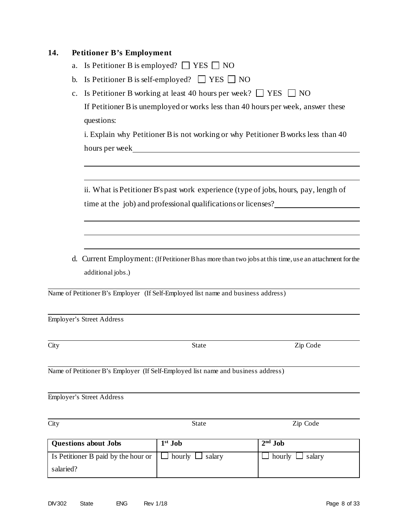## **14. Petitioner B's Employment**

- a. Is Petitioner B is employed?  $\Box$  YES  $\Box$  NO
- b. Is Petitioner B is self-employed?  $\Box$  YES  $\Box$  NO
- c. Is Petitioner B working at least 40 hours per week?  $\Box$  YES  $\Box$  NO If Petitioner Bis unemployed or works less than 40 hours per week, answer these questions:

i. Explain why Petitioner B is not working or why Petitioner B works less than 40 hours per week

ii. What is Petitioner B's past work experience (type of jobs, hours, pay, length of time at the job) and professional qualifications or licenses?

d. Current Employment: (If Petitioner Bhas more than two jobs at this time, use an attachment for the additional jobs.)

Name of Petitioner B's Employer (If Self-Employed list name and business address)

Employer's Street Address

Name of Petitioner B's Employer (If Self-Employed list name and business address)

Employer's Street Address

**Questions about Jobs 1st Job 2nd Job** Is Petitioner B paid by the hour or salaried?  $\Box$  hourly  $\Box$  salary  $\Box$  hourly  $\Box$  salary

City State Zip Code

City State Zip Code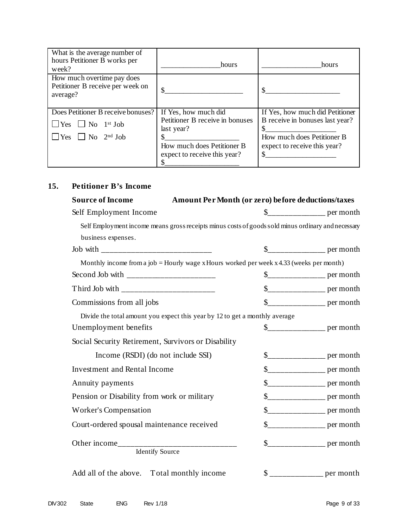| What is the average number of<br>hours Petitioner B works per<br>week?         | hours                                                                 | hours                                                              |
|--------------------------------------------------------------------------------|-----------------------------------------------------------------------|--------------------------------------------------------------------|
| How much overtime pay does<br>Petitioner B receive per week on<br>average?     |                                                                       |                                                                    |
| Does Petitioner B receive bonuses?<br>$\Box$ Yes $\Box$ No 1 <sup>st</sup> Job | If Yes, how much did<br>Petitioner B receive in bonuses<br>last year? | If Yes, how much did Petitioner<br>B receive in bonuses last year? |
| $\Box$ Yes $\Box$ No $2^{nd}$ Job                                              | How much does Petitioner B<br>expect to receive this year?            | How much does Petitioner B<br>expect to receive this year?         |

# **15. Petitioner B's Income**

| <b>Source of Income</b>                                                                            | Amount Per Month (or zero) before deductions/taxes |                                      |
|----------------------------------------------------------------------------------------------------|----------------------------------------------------|--------------------------------------|
| Self Employment Income                                                                             |                                                    |                                      |
| Self Employment income means gross receipts minus costs of goods sold minus ordinary and necessary |                                                    |                                      |
| business expenses.                                                                                 |                                                    |                                      |
|                                                                                                    |                                                    |                                      |
| Monthly income from a job = Hourly wage x Hours worked per week $x$ 4.33 (weeks per month)         |                                                    |                                      |
|                                                                                                    |                                                    |                                      |
| Third Job with __________________________                                                          |                                                    | $\frac{1}{2}$ per month              |
| Commissions from all jobs                                                                          |                                                    | \$________________________ per month |
| Divide the total amount you expect this year by 12 to get a monthly average                        |                                                    |                                      |
| Unemployment benefits                                                                              |                                                    |                                      |
| Social Security Retirement, Survivors or Disability                                                |                                                    |                                      |
| Income (RSDI) (do not include SSI)                                                                 |                                                    |                                      |
| <b>Investment and Rental Income</b>                                                                |                                                    |                                      |
| Annuity payments                                                                                   |                                                    |                                      |
| Pension or Disability from work or military                                                        |                                                    | $\frac{1}{2}$ per month              |
| Worker's Compensation                                                                              |                                                    |                                      |
| Court-ordered spousal maintenance received                                                         |                                                    |                                      |
|                                                                                                    |                                                    |                                      |
| Add all of the above. Total monthly income                                                         |                                                    |                                      |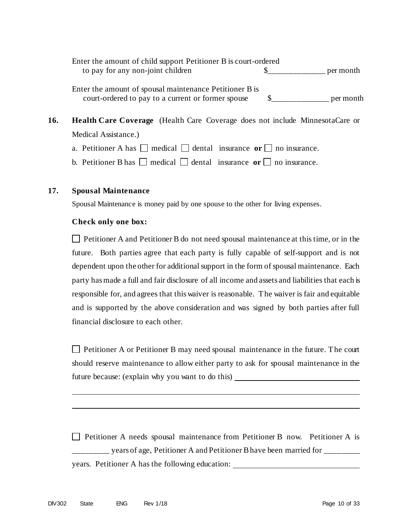Enter the amount of child support Petitioner B is court-ordered to pay for any non-joint children  $\frac{1}{2}$   $\frac{1}{2}$  per month

Enter the amount of spousal maintenance Petitioner B is court-ordered to pay to a current or former spouse \$\_\_\_\_\_\_\_\_\_\_\_\_\_\_ per month

- **16. Health Care Coverage** (Health Care Coverage does not include MinnesotaCare or Medical Assistance.)
	- a. Petitioner A has  $\Box$  medical  $\Box$  dental insurance **or**  $\Box$  no insurance.
	- b. Petitioner B has  $\Box$  medical  $\Box$  dental insurance or  $\Box$  no insurance.

## **17. Spousal Maintenance**

Spousal Maintenance is money paid by one spouse to the other for living expenses.

#### **Check only one box:**

 $\Box$  Petitioner A and Petitioner B do not need spousal maintenance at this time, or in the future. Both parties agree that each party is fully capable of self-support and is not dependent upon the other for additional support in the form of spousal maintenance. Each party has made a full and fair disclosure of all income and assets and liabilities that each is responsible for, and agrees that thiswaiver is reasonable. The waiver is fair and equitable and is supported by the above consideration and was signed by both parties after full financial disclosure to each other.

Petitioner A or Petitioner B may need spousal maintenance in the future. The court should reserve maintenance to allow either party to ask for spousal maintenance in the future because: (explain why you want to do this)

Petitioner A needs spousal maintenance from Petitioner B now. Petitioner A is \_\_\_\_\_\_\_ years of age, Petitioner A and Petitioner B have been married for \_\_\_\_\_\_\_ years. Petitioner A has the following education: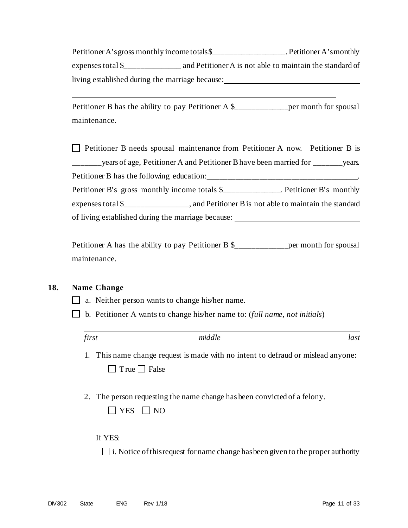Petitioner A's gross monthly income totals \$\_\_\_\_\_\_\_\_\_\_\_\_\_\_\_\_. Petitioner A's monthly expenses total \$\_\_\_\_\_\_\_\_\_\_\_\_\_\_ and Petitioner A is not able to maintain the standard of living established during the marriage because:

Petitioner B has the ability to pay Petitioner A \$\_\_\_\_\_\_\_\_\_\_\_\_\_\_\_\_\_\_\_\_\_\_\_\_per month for spousal maintenance.

 $\Box$  Petitioner B needs spousal maintenance from Petitioner A now. Petitioner B is \_\_\_\_\_\_years of age, Petitioner A and Petitioner B have been married for \_\_\_\_\_\_\_\_years. Petitioner B has the following education: Petitioner B's gross monthly income totals \$\_\_\_\_\_\_\_\_\_\_\_\_\_. Petitioner B's monthly expenses total \$\_\_\_\_\_\_\_\_\_\_\_\_\_\_\_\_, and Petitioner Bis not able to maintain the standard of living established during the marriage because:

Petitioner A has the ability to pay Petitioner B \$\_\_\_\_\_\_\_\_\_\_\_\_\_\_\_\_\_per month for spousal maintenance.

## **18. Name Change**

- $\Box$  a. Neither person wants to change his/her name.
- b. Petitioner A wants to change his/her name to: (*full name, not initials*)

- 1. This name change request is made with no intent to defraud or mislead anyone:  $\Box$  True  $\Box$  False
- 2. The person requesting the name change has been convicted of a felony.

If YES:

 $\Box$  i. Notice of this request for name change has been given to the proper authority